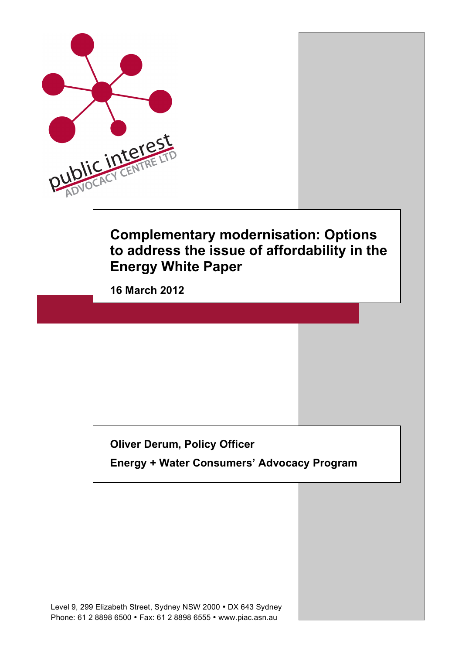

## **Oliver Derum, Policy Officer**

**Energy + Water Consumers' Advocacy Program**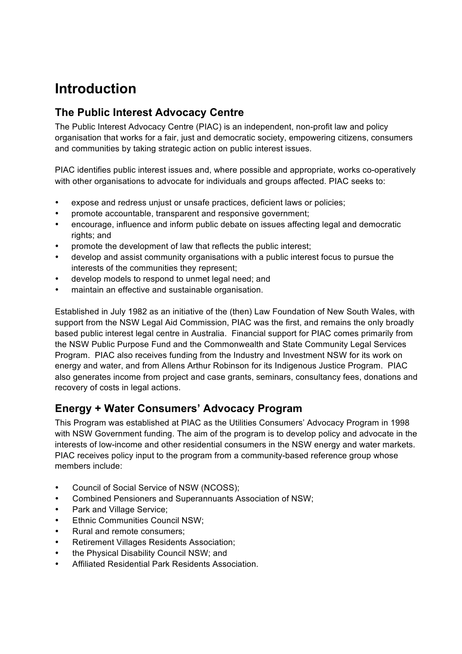# **Introduction**

## **The Public Interest Advocacy Centre**

The Public Interest Advocacy Centre (PIAC) is an independent, non-profit law and policy organisation that works for a fair, just and democratic society, empowering citizens, consumers and communities by taking strategic action on public interest issues.

PIAC identifies public interest issues and, where possible and appropriate, works co-operatively with other organisations to advocate for individuals and groups affected. PIAC seeks to:

- expose and redress unjust or unsafe practices, deficient laws or policies;
- promote accountable, transparent and responsive government;
- encourage, influence and inform public debate on issues affecting legal and democratic rights; and
- promote the development of law that reflects the public interest;
- develop and assist community organisations with a public interest focus to pursue the interests of the communities they represent;
- develop models to respond to unmet legal need; and
- maintain an effective and sustainable organisation.

Established in July 1982 as an initiative of the (then) Law Foundation of New South Wales, with support from the NSW Legal Aid Commission, PIAC was the first, and remains the only broadly based public interest legal centre in Australia. Financial support for PIAC comes primarily from the NSW Public Purpose Fund and the Commonwealth and State Community Legal Services Program. PIAC also receives funding from the Industry and Investment NSW for its work on energy and water, and from Allens Arthur Robinson for its Indigenous Justice Program. PIAC also generates income from project and case grants, seminars, consultancy fees, donations and recovery of costs in legal actions.

## **Energy + Water Consumers' Advocacy Program**

This Program was established at PIAC as the Utilities Consumers' Advocacy Program in 1998 with NSW Government funding. The aim of the program is to develop policy and advocate in the interests of low-income and other residential consumers in the NSW energy and water markets. PIAC receives policy input to the program from a community-based reference group whose members include:

- Council of Social Service of NSW (NCOSS);
- Combined Pensioners and Superannuants Association of NSW;
- Park and Village Service:
- Ethnic Communities Council NSW;
- Rural and remote consumers;
- Retirement Villages Residents Association;
- the Physical Disability Council NSW; and
- Affiliated Residential Park Residents Association.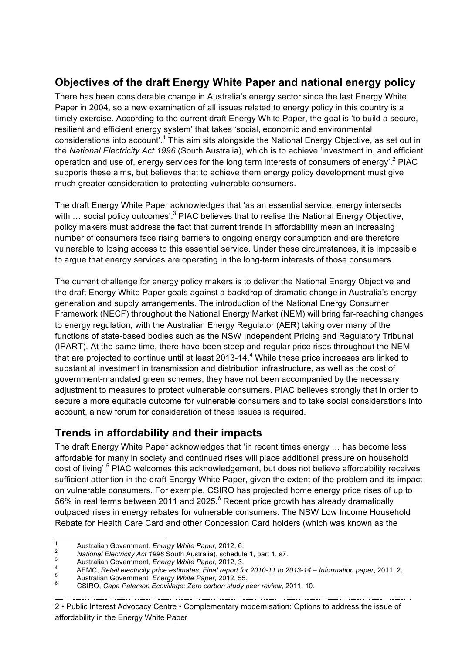## **Objectives of the draft Energy White Paper and national energy policy**

There has been considerable change in Australia's energy sector since the last Energy White Paper in 2004, so a new examination of all issues related to energy policy in this country is a timely exercise. According to the current draft Energy White Paper, the goal is 'to build a secure, resilient and efficient energy system' that takes 'social, economic and environmental considerations into account'.<sup>1</sup> This aim sits alongside the National Energy Objective, as set out in the *National Electricity Act 1996* (South Australia), which is to achieve 'investment in, and efficient operation and use of, energy services for the long term interests of consumers of energy'.<sup>2</sup> PIAC supports these aims, but believes that to achieve them energy policy development must give much greater consideration to protecting vulnerable consumers.

The draft Energy White Paper acknowledges that 'as an essential service, energy intersects with ... social policy outcomes'.<sup>3</sup> PIAC believes that to realise the National Energy Objective, policy makers must address the fact that current trends in affordability mean an increasing number of consumers face rising barriers to ongoing energy consumption and are therefore vulnerable to losing access to this essential service. Under these circumstances, it is impossible to argue that energy services are operating in the long-term interests of those consumers.

The current challenge for energy policy makers is to deliver the National Energy Objective and the draft Energy White Paper goals against a backdrop of dramatic change in Australia's energy generation and supply arrangements. The introduction of the National Energy Consumer Framework (NECF) throughout the National Energy Market (NEM) will bring far-reaching changes to energy regulation, with the Australian Energy Regulator (AER) taking over many of the functions of state-based bodies such as the NSW Independent Pricing and Regulatory Tribunal (IPART). At the same time, there have been steep and regular price rises throughout the NEM that are projected to continue until at least 2013-14.<sup>4</sup> While these price increases are linked to substantial investment in transmission and distribution infrastructure, as well as the cost of government-mandated green schemes, they have not been accompanied by the necessary adjustment to measures to protect vulnerable consumers. PIAC believes strongly that in order to secure a more equitable outcome for vulnerable consumers and to take social considerations into account, a new forum for consideration of these issues is required.

## **Trends in affordability and their impacts**

The draft Energy White Paper acknowledges that 'in recent times energy ... has become less affordable for many in society and continued rises will place additional pressure on household cost of living'.<sup>5</sup> PIAC welcomes this acknowledgement, but does not believe affordability receives sufficient attention in the draft Energy White Paper, given the extent of the problem and its impact on vulnerable consumers. For example, CSIRO has projected home energy price rises of up to 56% in real terms between 2011 and 2025.<sup>6</sup> Recent price growth has already dramatically outpaced rises in energy rebates for vulnerable consumers. The NSW Low Income Household Rebate for Health Care Card and other Concession Card holders (which was known as the

<sup>2&</sup>lt;br>
Australian Government, *Energy White Paper*, 2012, 6.<br>
National Electricity Act 1996 South Australia), schedule 1, part 1, s7.<br>
Australian Government, *Energy White Paper*, 2012, 3.<br>
AEMC, *Retail electricity price esti* 

<sup>2</sup> • Public Interest Advocacy Centre • Complementary modernisation: Options to address the issue of affordability in the Energy White Paper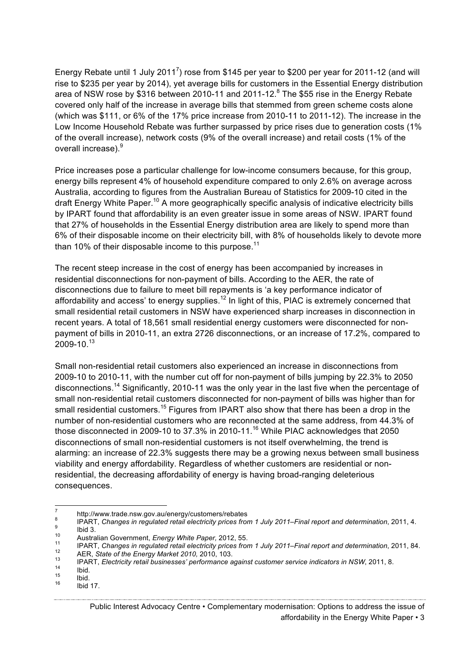Energy Rebate until 1 July 2011<sup>7</sup>) rose from \$145 per year to \$200 per year for 2011-12 (and will rise to \$235 per year by 2014), yet average bills for customers in the Essential Energy distribution area of NSW rose by \$316 between 2010-11 and 2011-12.<sup>8</sup> The \$55 rise in the Energy Rebate covered only half of the increase in average bills that stemmed from green scheme costs alone (which was \$111, or 6% of the 17% price increase from 2010-11 to 2011-12). The increase in the Low Income Household Rebate was further surpassed by price rises due to generation costs (1% of the overall increase), network costs (9% of the overall increase) and retail costs (1% of the overall increase).<sup>9</sup>

Price increases pose a particular challenge for low-income consumers because, for this group, energy bills represent 4% of household expenditure compared to only 2.6% on average across Australia, according to figures from the Australian Bureau of Statistics for 2009-10 cited in the draft Energy White Paper.<sup>10</sup> A more geographically specific analysis of indicative electricity bills by IPART found that affordability is an even greater issue in some areas of NSW. IPART found that 27% of households in the Essential Energy distribution area are likely to spend more than 6% of their disposable income on their electricity bill, with 8% of households likely to devote more than 10% of their disposable income to this purpose.<sup>11</sup>

The recent steep increase in the cost of energy has been accompanied by increases in residential disconnections for non-payment of bills. According to the AER, the rate of disconnections due to failure to meet bill repayments is 'a key performance indicator of affordability and access' to energy supplies.<sup>12</sup> In light of this, PIAC is extremely concerned that small residential retail customers in NSW have experienced sharp increases in disconnection in recent years. A total of 18,561 small residential energy customers were disconnected for nonpayment of bills in 2010-11, an extra 2726 disconnections, or an increase of 17.2%, compared to  $2009 - 10.<sup>13</sup>$ 

Small non-residential retail customers also experienced an increase in disconnections from 2009-10 to 2010-11, with the number cut off for non-payment of bills jumping by 22.3% to 2050 disconnections.<sup>14</sup> Significantly, 2010-11 was the only year in the last five when the percentage of small non-residential retail customers disconnected for non-payment of bills was higher than for small residential customers.<sup>15</sup> Figures from IPART also show that there has been a drop in the number of non-residential customers who are reconnected at the same address, from 44.3% of those disconnected in 2009-10 to 37.3% in 2010-11.<sup>16</sup> While PIAC acknowledges that 2050 disconnections of small non-residential customers is not itself overwhelming, the trend is alarming: an increase of 22.3% suggests there may be a growing nexus between small business viability and energy affordability. Regardless of whether customers are residential or nonresidential, the decreasing affordability of energy is having broad-ranging deleterious consequences.

http://www.trade.nsw.gov.au/energy/customers/rebates<br>
a<br>
PART, Changes in regulated retail electricity prices from 1 July 2011–Final report and determination, 2011, 4.<br>
bid 3.<br>
Australian Government, *Energy White Paper*,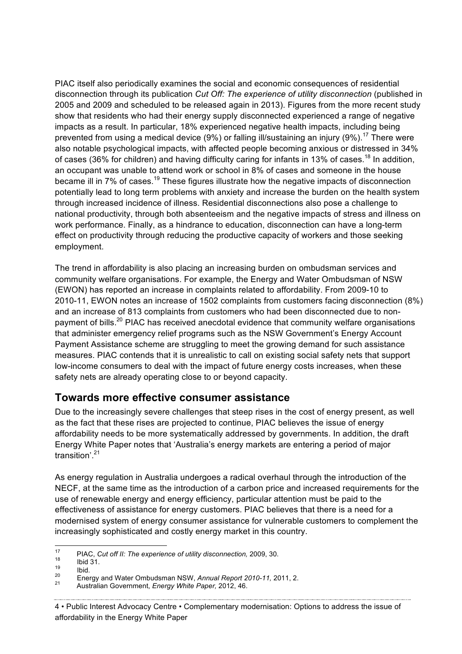PIAC itself also periodically examines the social and economic consequences of residential disconnection through its publication *Cut Off: The experience of utility disconnection* (published in 2005 and 2009 and scheduled to be released again in 2013). Figures from the more recent study show that residents who had their energy supply disconnected experienced a range of negative impacts as a result. In particular, 18% experienced negative health impacts, including being prevented from using a medical device (9%) or falling ill/sustaining an injury (9%).<sup>17</sup> There were also notable psychological impacts, with affected people becoming anxious or distressed in 34% of cases (36% for children) and having difficulty caring for infants in 13% of cases.<sup>18</sup> In addition, an occupant was unable to attend work or school in 8% of cases and someone in the house became ill in 7% of cases.<sup>19</sup> These figures illustrate how the negative impacts of disconnection potentially lead to long term problems with anxiety and increase the burden on the health system through increased incidence of illness. Residential disconnections also pose a challenge to national productivity, through both absenteeism and the negative impacts of stress and illness on work performance. Finally, as a hindrance to education, disconnection can have a long-term effect on productivity through reducing the productive capacity of workers and those seeking employment.

The trend in affordability is also placing an increasing burden on ombudsman services and community welfare organisations. For example, the Energy and Water Ombudsman of NSW (EWON) has reported an increase in complaints related to affordability. From 2009-10 to 2010-11, EWON notes an increase of 1502 complaints from customers facing disconnection (8%) and an increase of 813 complaints from customers who had been disconnected due to nonpayment of bills.<sup>20</sup> PIAC has received anecdotal evidence that community welfare organisations that administer emergency relief programs such as the NSW Government's Energy Account Payment Assistance scheme are struggling to meet the growing demand for such assistance measures. PIAC contends that it is unrealistic to call on existing social safety nets that support low-income consumers to deal with the impact of future energy costs increases, when these safety nets are already operating close to or beyond capacity.

## **Towards more effective consumer assistance**

Due to the increasingly severe challenges that steep rises in the cost of energy present, as well as the fact that these rises are projected to continue, PIAC believes the issue of energy affordability needs to be more systematically addressed by governments. In addition, the draft Energy White Paper notes that 'Australia's energy markets are entering a period of major transition'.<sup>21</sup>

As energy regulation in Australia undergoes a radical overhaul through the introduction of the NECF, at the same time as the introduction of a carbon price and increased requirements for the use of renewable energy and energy efficiency, particular attention must be paid to the effectiveness of assistance for energy customers. PIAC believes that there is a need for a modernised system of energy consumer assistance for vulnerable customers to complement the increasingly sophisticated and costly energy market in this country.

<sup>&</sup>lt;sup>17</sup> PIAC, Cut off II: The experience of utility disconnection, 2009, 30.<br>
lbid 31.<br>
lbid.<br>
Energy and Water Ombudsman NSW, Annual Report 2010-11, 2011, 2.<br>
<sup>21</sup> Australian Government, *Energy White Paper*, 2012, 46.

<sup>4</sup> • Public Interest Advocacy Centre • Complementary modernisation: Options to address the issue of affordability in the Energy White Paper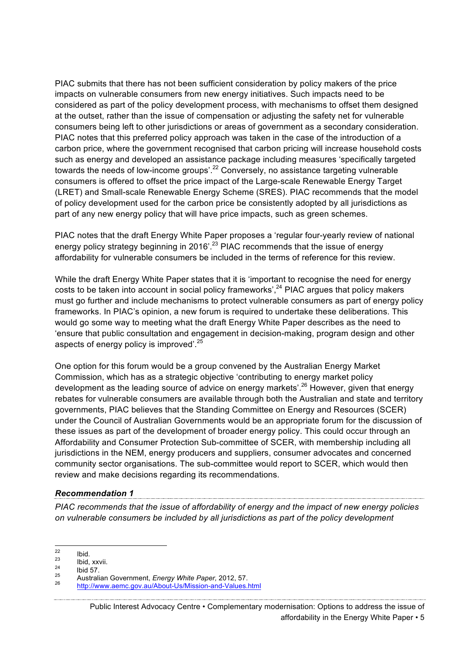PIAC submits that there has not been sufficient consideration by policy makers of the price impacts on vulnerable consumers from new energy initiatives. Such impacts need to be considered as part of the policy development process, with mechanisms to offset them designed at the outset, rather than the issue of compensation or adjusting the safety net for vulnerable consumers being left to other jurisdictions or areas of government as a secondary consideration. PIAC notes that this preferred policy approach was taken in the case of the introduction of a carbon price, where the government recognised that carbon pricing will increase household costs such as energy and developed an assistance package including measures 'specifically targeted towards the needs of low-income groups'.<sup>22</sup> Conversely, no assistance targeting vulnerable consumers is offered to offset the price impact of the Large-scale Renewable Energy Target (LRET) and Small-scale Renewable Energy Scheme (SRES). PIAC recommends that the model of policy development used for the carbon price be consistently adopted by all jurisdictions as part of any new energy policy that will have price impacts, such as green schemes.

PIAC notes that the draft Energy White Paper proposes a 'regular four-yearly review of national energy policy strategy beginning in 2016<sup>'.23</sup> PIAC recommends that the issue of energy affordability for vulnerable consumers be included in the terms of reference for this review.

While the draft Energy White Paper states that it is 'important to recognise the need for energy costs to be taken into account in social policy frameworks',  $24$  PIAC argues that policy makers must go further and include mechanisms to protect vulnerable consumers as part of energy policy frameworks. In PIAC's opinion, a new forum is required to undertake these deliberations. This would go some way to meeting what the draft Energy White Paper describes as the need to 'ensure that public consultation and engagement in decision-making, program design and other aspects of energy policy is improved'.<sup>25</sup>

One option for this forum would be a group convened by the Australian Energy Market Commission, which has as a strategic objective 'contributing to energy market policy development as the leading source of advice on energy markets'.26 However, given that energy rebates for vulnerable consumers are available through both the Australian and state and territory governments, PIAC believes that the Standing Committee on Energy and Resources (SCER) under the Council of Australian Governments would be an appropriate forum for the discussion of these issues as part of the development of broader energy policy. This could occur through an Affordability and Consumer Protection Sub-committee of SCER, with membership including all jurisdictions in the NEM, energy producers and suppliers, consumer advocates and concerned community sector organisations. The sub-committee would report to SCER, which would then review and make decisions regarding its recommendations.

### *Recommendation 1*

*PIAC recommends that the issue of affordability of energy and the impact of new energy policies on vulnerable consumers be included by all jurisdictions as part of the policy development* 

<sup>22</sup> Ibid. <sup>23</sup> Ibid, xxvii. <sup>24</sup> Ibid 57. <sup>25</sup> Australian Government, *Energy White Paper,* 2012, 57. <sup>26</sup> http://www.aemc.gov.au/About-Us/Mission-and-Values.html

Public Interest Advocacy Centre • Complementary modernisation: Options to address the issue of affordability in the Energy White Paper • 5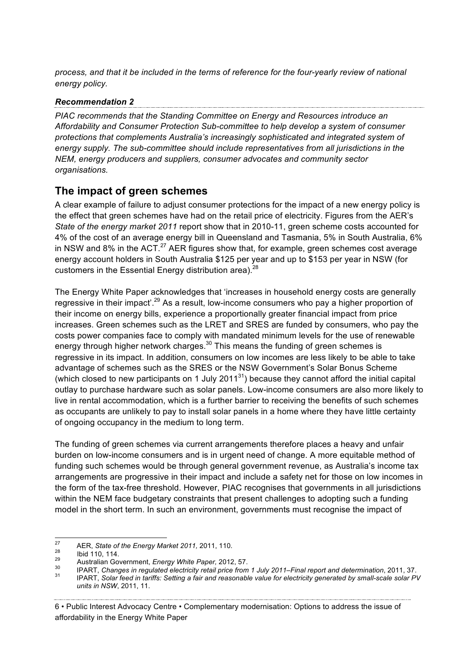*process, and that it be included in the terms of reference for the four-yearly review of national energy policy.* 

### *Recommendation 2*

*PIAC recommends that the Standing Committee on Energy and Resources introduce an Affordability and Consumer Protection Sub-committee to help develop a system of consumer protections that complements Australia's increasingly sophisticated and integrated system of energy supply. The sub-committee should include representatives from all jurisdictions in the NEM, energy producers and suppliers, consumer advocates and community sector organisations.*

## **The impact of green schemes**

A clear example of failure to adjust consumer protections for the impact of a new energy policy is the effect that green schemes have had on the retail price of electricity. Figures from the AER's *State of the energy market 2011* report show that in 2010-11, green scheme costs accounted for 4% of the cost of an average energy bill in Queensland and Tasmania, 5% in South Australia, 6% in NSW and 8% in the ACT. $^{27}$  AER figures show that, for example, green schemes cost average energy account holders in South Australia \$125 per year and up to \$153 per year in NSW (for customers in the Essential Energy distribution area).<sup>28</sup>

The Energy White Paper acknowledges that 'increases in household energy costs are generally regressive in their impact'.<sup>29</sup> As a result, low-income consumers who pay a higher proportion of their income on energy bills, experience a proportionally greater financial impact from price increases. Green schemes such as the LRET and SRES are funded by consumers, who pay the costs power companies face to comply with mandated minimum levels for the use of renewable energy through higher network charges. $30$  This means the funding of green schemes is regressive in its impact. In addition, consumers on low incomes are less likely to be able to take advantage of schemes such as the SRES or the NSW Government's Solar Bonus Scheme (which closed to new participants on 1 July 2011<sup>31</sup>) because they cannot afford the initial capital outlay to purchase hardware such as solar panels. Low-income consumers are also more likely to live in rental accommodation, which is a further barrier to receiving the benefits of such schemes as occupants are unlikely to pay to install solar panels in a home where they have little certainty of ongoing occupancy in the medium to long term.

The funding of green schemes via current arrangements therefore places a heavy and unfair burden on low-income consumers and is in urgent need of change. A more equitable method of funding such schemes would be through general government revenue, as Australia's income tax arrangements are progressive in their impact and include a safety net for those on low incomes in the form of the tax-free threshold. However, PIAC recognises that governments in all jurisdictions within the NEM face budgetary constraints that present challenges to adopting such a funding model in the short term. In such an environment, governments must recognise the impact of

6 • Public Interest Advocacy Centre • Complementary modernisation: Options to address the issue of affordability in the Energy White Paper

<sup>&</sup>lt;sup>27</sup><br>
AER, State of the Energy Market 2011, 2011, 110.<br>
<sup>28</sup><br>
Australian Government, Energy White Paper, 2012, 57.<br>
<sup>30</sup> IPART, Changes in regulated electricity retail price from 1 July 2011–Final report and determination

*units in NSW*, 2011, 11.